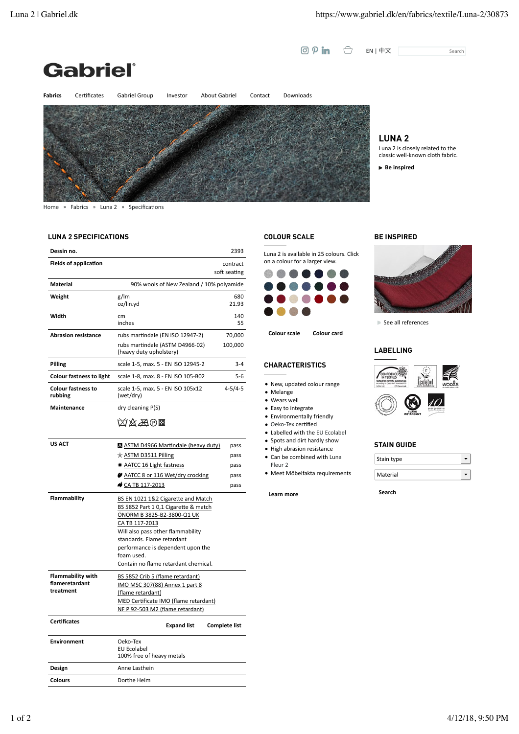EN | 中文 Search





**LUNA 2**

Luna 2 is closely related to the classic well-known cloth fabric.

**Be** inspired

**BE INSPIRED**

■ See all references

**LABELLING**

Home » Fabrics » Luna 2 » Specifications

## **LUNA 2 SPECIFICATIONS**

| Dessin no.                                              |                                                                                                                                                                                                                                                                                          | 2393              |  |
|---------------------------------------------------------|------------------------------------------------------------------------------------------------------------------------------------------------------------------------------------------------------------------------------------------------------------------------------------------|-------------------|--|
| <b>Fields of application</b>                            | contract<br>soft seating                                                                                                                                                                                                                                                                 |                   |  |
| <b>Material</b>                                         | 90% wools of New Zealand / 10% polyamide                                                                                                                                                                                                                                                 |                   |  |
| Weight                                                  | g/lm<br>oz/lin.yd                                                                                                                                                                                                                                                                        | 680<br>21.93      |  |
| Width                                                   | cm<br>inches                                                                                                                                                                                                                                                                             | 140<br>55         |  |
| <b>Abrasion resistance</b>                              | rubs martindale (EN ISO 12947-2)<br>rubs martindale (ASTM D4966-02)<br>(heavy duty upholstery)                                                                                                                                                                                           | 70,000<br>100,000 |  |
| Pilling                                                 | scale 1-5, max. 5 - EN ISO 12945-2                                                                                                                                                                                                                                                       | $3 - 4$           |  |
| <b>Colour fastness to light</b>                         | scale 1-8, max. 8 - EN ISO 105-B02                                                                                                                                                                                                                                                       | $5 - 6$           |  |
| <b>Colour fastness to</b><br>rubbing                    | scale 1-5, max. 5 - EN ISO 105x12<br>(wet/dry)                                                                                                                                                                                                                                           | 4-5/4-5           |  |
| Maintenance                                             | dry cleaning P(S)                                                                                                                                                                                                                                                                        |                   |  |
|                                                         | <b>Axa0⊠</b>                                                                                                                                                                                                                                                                             |                   |  |
| <b>US ACT</b>                                           | A ASTM D4966 Martindale (heavy duty)                                                                                                                                                                                                                                                     | pass              |  |
|                                                         | $\star$ ASTM D3511 Pilling                                                                                                                                                                                                                                                               | pass              |  |
|                                                         | <b>AATCC 16 Light fastness</b>                                                                                                                                                                                                                                                           | pass              |  |
|                                                         | $\blacktriangleright$ AATCC 8 or 116 Wet/dry crocking                                                                                                                                                                                                                                    | pass              |  |
|                                                         | CA TB 117-2013                                                                                                                                                                                                                                                                           | pass              |  |
| Flammability                                            | BS EN 1021 1&2 Cigarette and Match<br>BS 5852 Part 1 0,1 Cigarette & match<br>ÖNORM B 3825-B2-3800-Q1 UK<br>CA TB 117-2013<br>Will also pass other flammability<br>standards. Flame retardant<br>performance is dependent upon the<br>foam used.<br>Contain no flame retardant chemical. |                   |  |
| <b>Flammability with</b><br>flameretardant<br>treatment | BS 5852 Crib 5 (flame retardant)<br>IMO MSC 307(88) Annex 1 part 8<br>(flame retardant)<br>MED Certificate IMO (flame retardant)<br>NF P 92-503 M2 (flame retardant)                                                                                                                     |                   |  |

| <b>Certificates</b> | <b>Expand list</b>                                   | <b>Complete list</b> |
|---------------------|------------------------------------------------------|----------------------|
| <b>Environment</b>  | Oeko-Tex<br>EU Ecolabel<br>100% free of heavy metals |                      |
| Design              | Anne Lasthein                                        |                      |
| <b>Colours</b>      | Dorthe Helm                                          |                      |

## **COLOUR SCALE**

Luna 2 is available in 25 colours. Click on a colour for a larger view.

 $\odot$   $\circ$  in  $\odot$ 



**Colour scale Colour card**

## **CHARACTERISTICS**

- New, updated colour range
- Melange
- Wears well
- Easy to integrate
- $\bullet$  Environmentally friendly
- $\bullet$  Oeko-Tex certified
- Labelled with the EU Ecolabel
- Spots and dirt hardly show
- $\bullet$  High abrasion resistance
- Can be combined with Luna
- Fleur 2 · Meet Möbelfakta requirements

**Learn more**



## **STAIN GUIDE**

| Stain type |  |
|------------|--|
| Material   |  |

**Search**